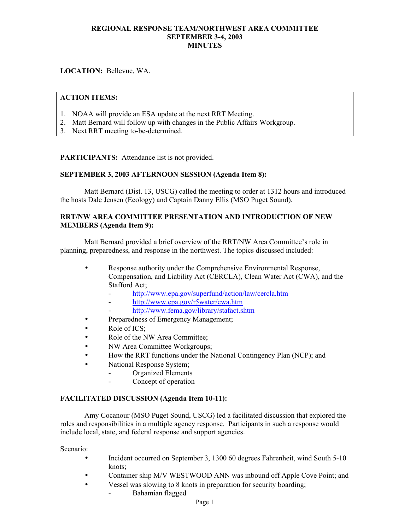**LOCATION:** Bellevue, WA.

## **ACTION ITEMS:**

- 1. NOAA will provide an ESA update at the next RRT Meeting.
- 2. Matt Bernard will follow up with changes in the Public Affairs Workgroup.
- 3. Next RRT meeting to-be-determined.

**PARTICIPANTS:** Attendance list is not provided.

## **SEPTEMBER 3, 2003 AFTERNOON SESSION (Agenda Item 8):**

Matt Bernard (Dist. 13, USCG) called the meeting to order at 1312 hours and introduced the hosts Dale Jensen (Ecology) and Captain Danny Ellis (MSO Puget Sound).

## **RRT/NW AREA COMMITTEE PRESENTATION AND INTRODUCTION OF NEW MEMBERS (Agenda Item 9):**

Matt Bernard provided a brief overview of the RRT/NW Area Committee's role in planning, preparedness, and response in the northwest. The topics discussed included:

- Response authority under the Comprehensive Environmental Response, Compensation, and Liability Act (CERCLA), Clean Water Act (CWA), and the Stafford Act;
	- <http://www.epa.gov/superfund/action/law/cercla.htm>
	- <http://www.epa.gov/r5water/cwa.htm>
	- <http://www.fema.gov/library/stafact.shtm>
- Preparedness of Emergency Management;
- Role of ICS;
- Role of the NW Area Committee;
- NW Area Committee Workgroups;
- How the RRT functions under the National Contingency Plan (NCP); and
- National Response System;
	- Organized Elements
		- Concept of operation

## **FACILITATED DISCUSSION (Agenda Item 10-11):**

Amy Cocanour (MSO Puget Sound, USCG) led a facilitated discussion that explored the roles and responsibilities in a multiple agency response. Participants in such a response would include local, state, and federal response and support agencies.

Scenario:

- Incident occurred on September 3, 1300 60 degrees Fahrenheit, wind South 5-10 knots;
- Container ship M/V WESTWOOD ANN was inbound off Apple Cove Point; and
- Vessel was slowing to 8 knots in preparation for security boarding;
	- Bahamian flagged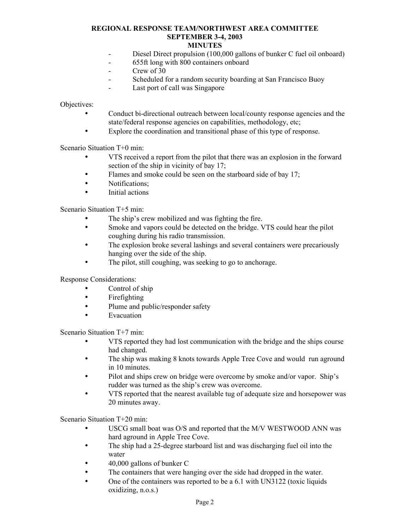# **MINUTES**

- Diesel Direct propulsion (100,000 gallons of bunker C fuel oil onboard)
- 655ft long with 800 containers onboard
- Crew of 30
- Scheduled for a random security boarding at San Francisco Buoy
- Last port of call was Singapore

Objectives:

- Conduct bi-directional outreach between local/county response agencies and the state/federal response agencies on capabilities, methodology, etc;
- Explore the coordination and transitional phase of this type of response.

Scenario Situation T+0 min:

- VTS received a report from the pilot that there was an explosion in the forward section of the ship in vicinity of bay 17;
- Flames and smoke could be seen on the starboard side of bay 17;
- Notifications;
- Initial actions

Scenario Situation T+5 min:

- The ship's crew mobilized and was fighting the fire.
- Smoke and vapors could be detected on the bridge. VTS could hear the pilot coughing during his radio transmission.
- The explosion broke several lashings and several containers were precariously hanging over the side of the ship.
- The pilot, still coughing, was seeking to go to anchorage.

Response Considerations:

- Control of ship
- Firefighting
- Plume and public/responder safety
- **Evacuation**

Scenario Situation T+7 min:

- VTS reported they had lost communication with the bridge and the ships course had changed.
- The ship was making 8 knots towards Apple Tree Cove and would run aground in 10 minutes.
- Pilot and ships crew on bridge were overcome by smoke and/or vapor. Ship's rudder was turned as the ship's crew was overcome.
- VTS reported that the nearest available tug of adequate size and horsepower was 20 minutes away.

Scenario Situation T+20 min:

- USCG small boat was O/S and reported that the M/V WESTWOOD ANN was hard aground in Apple Tree Cove.
- The ship had a 25-degree starboard list and was discharging fuel oil into the water
- 40,000 gallons of bunker C
- The containers that were hanging over the side had dropped in the water.
- One of the containers was reported to be a 6.1 with UN3122 (toxic liquids oxidizing, n.o.s.)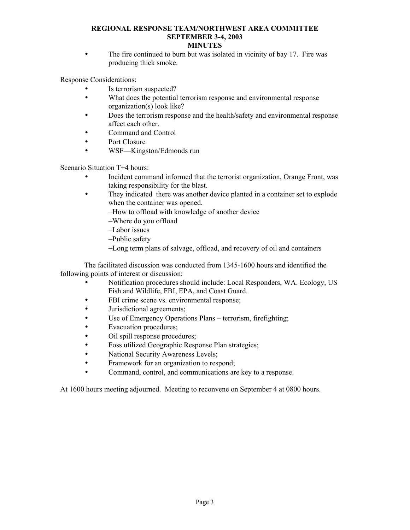• The fire continued to burn but was isolated in vicinity of bay 17. Fire was producing thick smoke.

Response Considerations:

- Is terrorism suspected?
- What does the potential terrorism response and environmental response organization(s) look like?
- Does the terrorism response and the health/safety and environmental response affect each other.
- Command and Control
- Port Closure
- WSF—Kingston/Edmonds run

Scenario Situation T+4 hours:

- Incident command informed that the terrorist organization, Orange Front, was taking responsibility for the blast.
- They indicated there was another device planted in a container set to explode when the container was opened.
	- –How to offload with knowledge of another device
	- –Where do you offload
	- –Labor issues
	- –Public safety
	- –Long term plans of salvage, offload, and recovery of oil and containers

The facilitated discussion was conducted from 1345-1600 hours and identified the following points of interest or discussion:

- Notification procedures should include: Local Responders, WA. Ecology, US Fish and Wildlife, FBI, EPA, and Coast Guard.
- FBI crime scene vs. environmental response;
- Jurisdictional agreements;
- Use of Emergency Operations Plans terrorism, firefighting;
- Evacuation procedures;
- Oil spill response procedures;
- Foss utilized Geographic Response Plan strategies;
- National Security Awareness Levels;
- Framework for an organization to respond;
- Command, control, and communications are key to a response.

At 1600 hours meeting adjourned. Meeting to reconvene on September 4 at 0800 hours.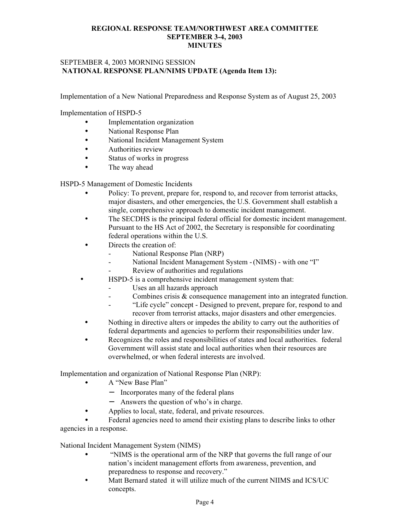## SEPTEMBER 4, 2003 MORNING SESSION  **NATIONAL RESPONSE PLAN/NIMS UPDATE (Agenda Item 13):**

Implementation of a New National Preparedness and Response System as of August 25, 2003

Implementation of HSPD-5

- Implementation organization
- National Response Plan
- National Incident Management System
- Authorities review
- Status of works in progress
- The way ahead

HSPD-5 Management of Domestic Incidents

- Policy: To prevent, prepare for, respond to, and recover from terrorist attacks, major disasters, and other emergencies, the U.S. Government shall establish a single, comprehensive approach to domestic incident management.
- The SECDHS is the principal federal official for domestic incident management. Pursuant to the HS Act of 2002, the Secretary is responsible for coordinating federal operations within the U.S.
- Directs the creation of:
	- National Response Plan (NRP)
		- National Incident Management System (NIMS) with one "I"
	- Review of authorities and regulations
- HSPD-5 is a comprehensive incident management system that:
	- Uses an all hazards approach
	- Combines crisis & consequence management into an integrated function.
	- "Life cycle" concept Designed to prevent, prepare for, respond to and recover from terrorist attacks, major disasters and other emergencies.
- Nothing in directive alters or impedes the ability to carry out the authorities of federal departments and agencies to perform their responsibilities under law.
- Recognizes the roles and responsibilities of states and local authorities. federal Government will assist state and local authorities when their resources are overwhelmed, or when federal interests are involved.

Implementation and organization of National Response Plan (NRP):

- A "New Base Plan"
	- − Incorporates many of the federal plans
	- Answers the question of who's in charge.
- Applies to local, state, federal, and private resources.

• Federal agencies need to amend their existing plans to describe links to other agencies in a response.

National Incident Management System (NIMS)

- "NIMS is the operational arm of the NRP that governs the full range of our nation's incident management efforts from awareness, prevention, and preparedness to response and recovery."
- Matt Bernard stated it will utilize much of the current NIIMS and ICS/UC concepts.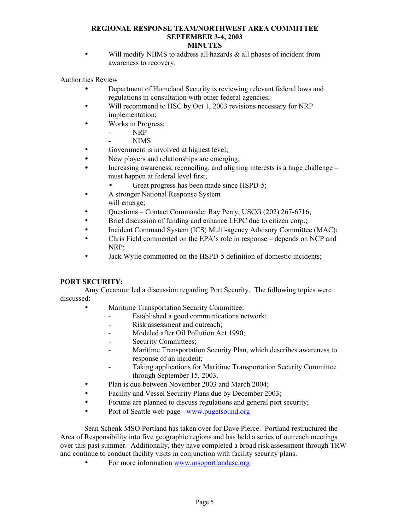# **MINUTES**

• Will modify NIIMS to address all hazards & all phases of incident from awareness to recovery.

Authorities Review

- Department of Homeland Security is reviewing relevant federal laws and regulations in consultation with other federal agencies;
- Will recommend to HSC by Oct 1, 2003 revisions necessary for NRP implementation;
- Works in Progress;
	- NRP
		- NIMS
- Government is involved at highest level;
- New players and relationships are emerging;
- Increasing awareness, reconciling, and aligning interests is a huge challenge must happen at federal level first;
	- Great progress has been made since HSPD-5;
- A stronger National Response System will emerge;
- Questions Contact Commander Ray Perry, USCG (202) 267-6716;
- Brief discussion of funding and enhance LEPC due to citizen corp.;
- Incident Command System (ICS) Multi-agency Advisory Committee (MAC);
- Chris Field commented on the EPA's role in response depends on NCP and NRP;
- Jack Wylie commented on the HSPD-5 definition of domestic incidents;

# **PORT SECURITY:**

Amy Cocanour led a discussion regarding Port Security. The following topics were discussed:

- Maritime Transportation Security Committee:
	- Established a good communications network;
	- Risk assessment and outreach;
	- Modeled after Oil Pollution Act 1990;
	- Security Committees;
	- Maritime Transportation Security Plan, which describes awareness to response of an incident;
	- Taking applications for Maritime Transportation Security Committee through September 15, 2003.
- Plan is due between November 2003 and March 2004;
- Facility and Vessel Security Plans due by December 2003;
- Forums are planned to discuss regulations and general port security;
- Port of Seattle web page [www.pugetsound.org](http://www.pugetsound.org/)

Sean Schenk MSO Portland has taken over for Dave Pierce. Portland restructured the Area of Responsibility into five geographic regions and has held a series of outreach meetings over this past summer. Additionally, they have completed a broad risk assessment through TRW and continue to conduct facility visits in conjunction with facility security plans.

• For more information [www.msoportlandasc.org](http://www.msoportlandasc.org/)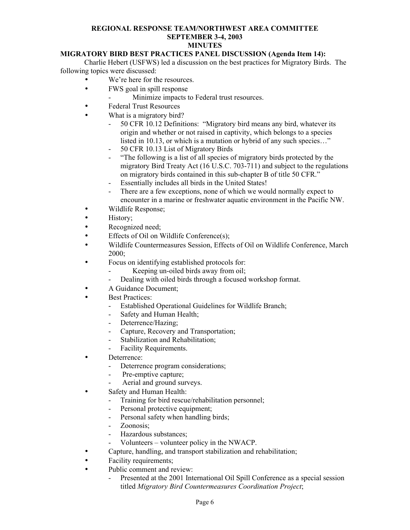# **MIGRATORY BIRD BEST PRACTICES PANEL DISCUSSION (Agenda Item 14):**

Charlie Hebert (USFWS) led a discussion on the best practices for Migratory Birds. The following topics were discussed:

- We're here for the resources.
- FWS goal in spill response
	- Minimize impacts to Federal trust resources.
- Federal Trust Resources
- What is a migratory bird?
	- 50 CFR 10.12 Definitions: "Migratory bird means any bird, whatever its origin and whether or not raised in captivity, which belongs to a species listed in 10.13, or which is a mutation or hybrid of any such species…"
	- 50 CFR 10.13 List of Migratory Birds
	- "The following is a list of all species of migratory birds protected by the migratory Bird Treaty Act (16 U.S.C. 703-711) and subject to the regulations on migratory birds contained in this sub-chapter B of title 50 CFR."
	- Essentially includes all birds in the United States!
	- There are a few exceptions, none of which we would normally expect to encounter in a marine or freshwater aquatic environment in the Pacific NW.
- Wildlife Response;
- History;
- Recognized need;
- Effects of Oil on Wildlife Conference(s);
- Wildlife Countermeasures Session, Effects of Oil on Wildlife Conference, March 2000;
- Focus on identifying established protocols for:
	- Keeping un-oiled birds away from oil;
	- Dealing with oiled birds through a focused workshop format.
- A Guidance Document;
- **Best Practices:** 
	- Established Operational Guidelines for Wildlife Branch;
	- Safety and Human Health;
	- Deterrence/Hazing;
	- Capture, Recovery and Transportation;
	- Stabilization and Rehabilitation;
	- Facility Requirements.
- Deterrence:

-

- Deterrence program considerations;
	- Pre-emptive capture;
- Aerial and ground surveys.
- Safety and Human Health:
	- Training for bird rescue/rehabilitation personnel;
	- Personal protective equipment;
	- Personal safety when handling birds;
	- Zoonosis;
	- Hazardous substances;
	- Volunteers – volunteer policy in the NWACP.
- Capture, handling, and transport stabilization and rehabilitation;
- Facility requirements;
- Public comment and review:
	- Presented at the 2001 International Oil Spill Conference as a special session titled *Migratory Bird Countermeasures Coordination Project*;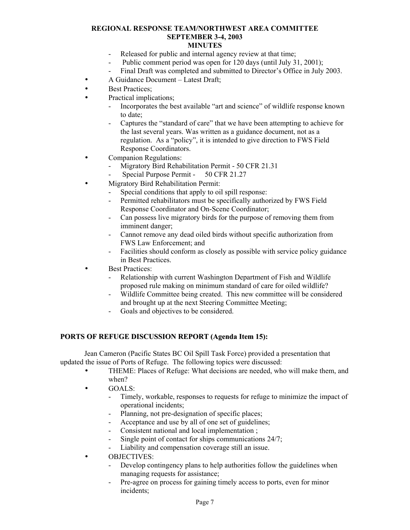- Released for public and internal agency review at that time;
- Public comment period was open for 120 days (until July 31, 2001);
- Final Draft was completed and submitted to Director's Office in July 2003.
- A Guidance Document Latest Draft:
- **Best Practices:**
- Practical implications:
	- Incorporates the best available "art and science" of wildlife response known to date;
	- Captures the "standard of care" that we have been attempting to achieve for the last several years. Was written as a guidance document, not as a regulation. As a "policy", it is intended to give direction to FWS Field Response Coordinators.
- Companion Regulations:
	- Migratory Bird Rehabilitation Permit - 50 CFR 21.31
	- Special Purpose Permit - 50 CFR 21.27
- Migratory Bird Rehabilitation Permit:
	- Special conditions that apply to oil spill response:
	- Permitted rehabilitators must be specifically authorized by FWS Field Response Coordinator and On-Scene Coordinator;
	- Can possess live migratory birds for the purpose of removing them from imminent danger;
	- Cannot remove any dead oiled birds without specific authorization from FWS Law Enforcement; and
	- Facilities should conform as closely as possible with service policy guidance in Best Practices.
- **Best Practices:** 
	- Relationship with current Washington Department of Fish and Wildlife proposed rule making on minimum standard of care for oiled wildlife?
	- Wildlife Committee being created. This new committee will be considered and brought up at the next Steering Committee Meeting;
	- Goals and objectives to be considered.

## **PORTS OF REFUGE DISCUSSION REPORT (Agenda Item 15):**

Jean Cameron (Pacific States BC Oil Spill Task Force) provided a presentation that updated the issue of Ports of Refuge. The following topics were discussed:

- THEME: Places of Refuge: What decisions are needed, who will make them, and when?
- GOALS:
	- Timely, workable, responses to requests for refuge to minimize the impact of operational incidents;
	- Planning, not pre-designation of specific places;
	- Acceptance and use by all of one set of guidelines;
	- Consistent national and local implementation ;
	- Single point of contact for ships communications 24/7;
	- Liability and compensation coverage still an issue.
- OBJECTIVES:
	- Develop contingency plans to help authorities follow the guidelines when managing requests for assistance;
	- Pre-agree on process for gaining timely access to ports, even for minor incidents;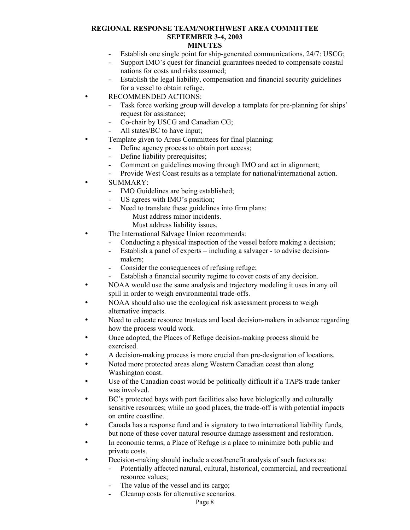# **MINUTES**

- Establish one single point for ship-generated communications, 24/7: USCG;
- Support IMO's quest for financial guarantees needed to compensate coastal nations for costs and risks assumed;
- Establish the legal liability, compensation and financial security guidelines for a vessel to obtain refuge.
- RECOMMENDED ACTIONS:
	- Task force working group will develop a template for pre-planning for ships' request for assistance;
	- Co-chair by USCG and Canadian CG;
	- All states/BC to have input;
- Template given to Areas Committees for final planning:
	- Define agency process to obtain port access;
	- Define liability prerequisites;
	- Comment on guidelines moving through IMO and act in alignment;
	- Provide West Coast results as a template for national/international action.
- SUMMARY:
	- IMO Guidelines are being established;
	- US agrees with IMO's position;
	- Need to translate these guidelines into firm plans: Must address minor incidents.
		- Must address liability issues.
- The International Salvage Union recommends:
	- Conducting a physical inspection of the vessel before making a decision;
	- Establish a panel of experts – including a salvager - to advise decisionmakers;
	- Consider the consequences of refusing refuge;
	- Establish a financial security regime to cover costs of any decision.
- NOAA would use the same analysis and trajectory modeling it uses in any oil spill in order to weigh environmental trade-offs.
- NOAA should also use the ecological risk assessment process to weigh alternative impacts.
- Need to educate resource trustees and local decision-makers in advance regarding how the process would work.
- Once adopted, the Places of Refuge decision-making process should be exercised.
- A decision-making process is more crucial than pre-designation of locations.
- Noted more protected areas along Western Canadian coast than along Washington coast.
- Use of the Canadian coast would be politically difficult if a TAPS trade tanker was involved.
- BC's protected bays with port facilities also have biologically and culturally sensitive resources; while no good places, the trade-off is with potential impacts on entire coastline.
- Canada has a response fund and is signatory to two international liability funds, but none of these cover natural resource damage assessment and restoration.
- In economic terms, a Place of Refuge is a place to minimize both public and private costs.
- Decision-making should include a cost/benefit analysis of such factors as:
	- Potentially affected natural, cultural, historical, commercial, and recreational resource values;
	- The value of the vessel and its cargo;
	- Cleanup costs for alternative scenarios.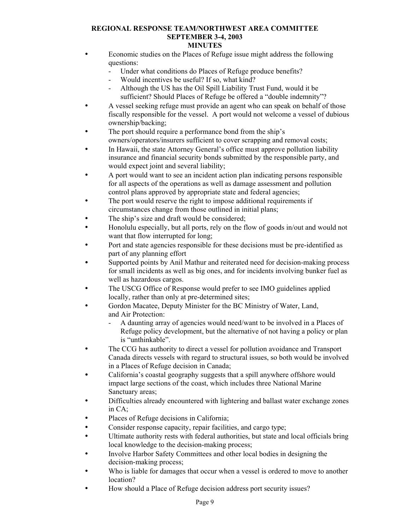- Economic studies on the Places of Refuge issue might address the following questions:
	- Under what conditions do Places of Refuge produce benefits?
	- Would incentives be useful? If so, what kind?
	- Although the US has the Oil Spill Liability Trust Fund, would it be sufficient? Should Places of Refuge be offered a "double indemnity"?
- A vessel seeking refuge must provide an agent who can speak on behalf of those fiscally responsible for the vessel. A port would not welcome a vessel of dubious ownership/backing;
- The port should require a performance bond from the ship's owners/operators/insurers sufficient to cover scrapping and removal costs;
- In Hawaii, the state Attorney General's office must approve pollution liability insurance and financial security bonds submitted by the responsible party, and would expect joint and several liability;
- A port would want to see an incident action plan indicating persons responsible for all aspects of the operations as well as damage assessment and pollution control plans approved by appropriate state and federal agencies;
- The port would reserve the right to impose additional requirements if circumstances change from those outlined in initial plans;
- The ship's size and draft would be considered;
- Honolulu especially, but all ports, rely on the flow of goods in/out and would not want that flow interrupted for long;
- Port and state agencies responsible for these decisions must be pre-identified as part of any planning effort
- Supported points by Anil Mathur and reiterated need for decision-making process for small incidents as well as big ones, and for incidents involving bunker fuel as well as hazardous cargos.
- The USCG Office of Response would prefer to see IMO guidelines applied locally, rather than only at pre-determined sites;
- Gordon Macatee, Deputy Minister for the BC Ministry of Water, Land, and Air Protection:
	- A daunting array of agencies would need/want to be involved in a Places of Refuge policy development, but the alternative of not having a policy or plan is "unthinkable".
- The CCG has authority to direct a vessel for pollution avoidance and Transport Canada directs vessels with regard to structural issues, so both would be involved in a Places of Refuge decision in Canada;
- California's coastal geography suggests that a spill anywhere offshore would impact large sections of the coast, which includes three National Marine Sanctuary areas;
- Difficulties already encountered with lightering and ballast water exchange zones in CA;
- Places of Refuge decisions in California;
- Consider response capacity, repair facilities, and cargo type;
- Ultimate authority rests with federal authorities, but state and local officials bring local knowledge to the decision-making process;
- Involve Harbor Safety Committees and other local bodies in designing the decision-making process;
- Who is liable for damages that occur when a vessel is ordered to move to another location?
- How should a Place of Refuge decision address port security issues?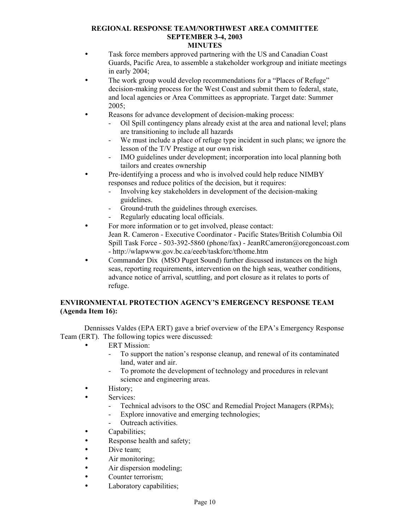- Task force members approved partnering with the US and Canadian Coast Guards, Pacific Area, to assemble a stakeholder workgroup and initiate meetings in early 2004;
- The work group would develop recommendations for a "Places of Refuge" decision-making process for the West Coast and submit them to federal, state, and local agencies or Area Committees as appropriate. Target date: Summer 2005;
- Reasons for advance development of decision-making process:
	- Oil Spill contingency plans already exist at the area and national level; plans are transitioning to include all hazards
	- We must include a place of refuge type incident in such plans; we ignore the lesson of the T/V Prestige at our own risk
	- IMO guidelines under development; incorporation into local planning both tailors and creates ownership
- Pre-identifying a process and who is involved could help reduce NIMBY responses and reduce politics of the decision, but it requires:
	- Involving key stakeholders in development of the decision-making guidelines.
	- Ground-truth the guidelines through exercises.
	- Regularly educating local officials.
- For more information or to get involved, please contact: Jean R. Cameron - Executive Coordinator - Pacific States/British Columbia Oil Spill Task Force - 503-392-5860 (phone/fax) - [JeanRCameron@oregoncoast.com](mailto:JeanRCameron@oregoncoast.com) - <http://wlapwww.gov.bc.ca/eeeb/taskforc/tfhome.htm>
- Commander Dix (MSO Puget Sound) further discussed instances on the high seas, reporting requirements, intervention on the high seas, weather conditions, advance notice of arrival, scuttling, and port closure as it relates to ports of refuge.

# **ENVIRONMENTAL PROTECTION AGENCY'S EMERGENCY RESPONSE TEAM (Agenda Item 16):**

Dennisses Valdes (EPA ERT) gave a brief overview of the EPA's Emergency Response Team (ERT). The following topics were discussed:

- **ERT Mission:** 
	- To support the nation's response cleanup, and renewal of its contaminated land, water and air.
	- To promote the development of technology and procedures in relevant science and engineering areas.
- History;
- Services:
	- Technical advisors to the OSC and Remedial Project Managers (RPMs);
	- Explore innovative and emerging technologies;
	- Outreach activities.
- Capabilities:
- Response health and safety;
- Dive team;
- Air monitoring;
- Air dispersion modeling;
- Counter terrorism:
- Laboratory capabilities;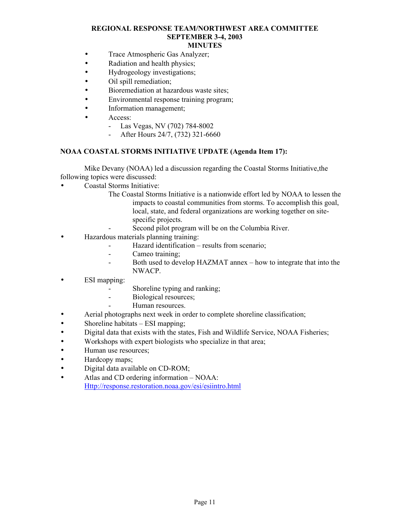- **MINUTES**
- Trace Atmospheric Gas Analyzer;
- Radiation and health physics;
- Hydrogeology investigations;
- Oil spill remediation;
- Bioremediation at hazardous waste sites;
- Environmental response training program;
- Information management;
- Access:
	- Las Vegas, NV (702) 784-8002
	- After Hours 24/7, (732) 321-6660

## **NOAA COASTAL STORMS INITIATIVE UPDATE (Agenda Item 17):**

Mike Devany (NOAA) led a discussion regarding the Coastal Storms Initiative,the following topics were discussed:

- Coastal Storms Initiative:
	- The Coastal Storms Initiative is a nationwide effort led by NOAA to lessen the impacts to coastal communities from storms. To accomplish this goal, local, state, and federal organizations are working together on sitespecific projects.
		- Second pilot program will be on the Columbia River.
- Hazardous materials planning training:
	- Hazard identification results from scenario;
	- Cameo training;
	- Both used to develop HAZMAT annex how to integrate that into the NWACP.
- ESI mapping:
	- Shoreline typing and ranking;
	- Biological resources;
	- Human resources.
- Aerial photographs next week in order to complete shoreline classification;
- Shoreline habitats ESI mapping;
- Digital data that exists with the states, Fish and Wildlife Service, NOAA Fisheries;
- Workshops with expert biologists who specialize in that area;
- Human use resources;
- Hardcopy maps;
- Digital data available on CD-ROM;
- Atlas and CD ordering information NOAA: [Http://response.restoration.noaa.gov/esi/esiintro.html](http://response.restoration.noaa.gov/esi/esiintro.html)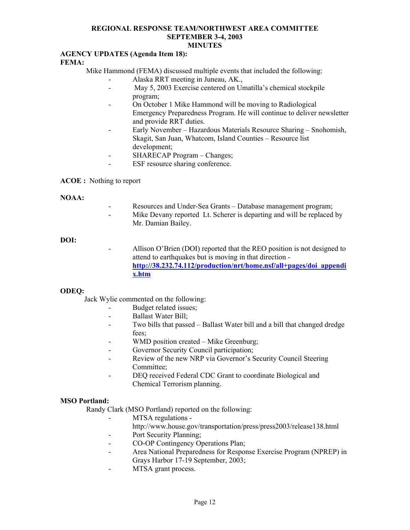# **AGENCY UPDATES (Agenda Item 18):**

## **FEMA:**

Mike Hammond (FEMA) discussed multiple events that included the following:

- Alaska RRT meeting in Juneau, AK.,
- May 5, 2003 Exercise centered on Umatilla's chemical stockpile program;
- On October 1 Mike Hammond will be moving to Radiological Emergency Preparedness Program. He will continue to deliver newsletter and provide RRT duties.
- Early November Hazardous Materials Resource Sharing Snohomish, Skagit, San Juan, Whatcom, Island Counties – Resource list development;
- SHARECAP Program Changes;
- ESF resource sharing conference.

#### **ACOE :** Nothing to report

#### **NOAA:**

- Resources and Under-Sea Grants Database management program;
- Mike Devany reported Lt. Scherer is departing and will be replaced by Mr. Damian Bailey.

#### **DOI:**

Allison O'Brien (DOI) reported that the REO position is not designed to attend to earthquakes but is moving in that direction **[http://38.232.74.112/production/nrt/home.nsf/all+pages/doi\\_appendi](http://38.232.74.112/production/nrt/home.nsf/all+pages/doi_appendix.htm) [x.htm](http://38.232.74.112/production/nrt/home.nsf/all+pages/doi_appendix.htm)**

## **ODEQ:**

Jack Wylie commented on the following:

- Budget related issues;
- Ballast Water Bill;
- Two bills that passed Ballast Water bill and a bill that changed dredge fees;
- WMD position created Mike Greenburg;
- Governor Security Council participation;
- Review of the new NRP via Governor's Security Council Steering Committee;
- DEQ received Federal CDC Grant to coordinate Biological and Chemical Terrorism planning.

## **MSO Portland:**

Randy Clark (MSO Portland) reported on the following:

- MTSA regulations
	- http://www.house.gov/transportation/press/press2003/release138.html
- Port Security Planning;
- CO-OP Contingency Operations Plan:
- Area National Preparedness for Response Exercise Program (NPREP) in Grays Harbor 17-19 September, 2003;
- MTSA grant process.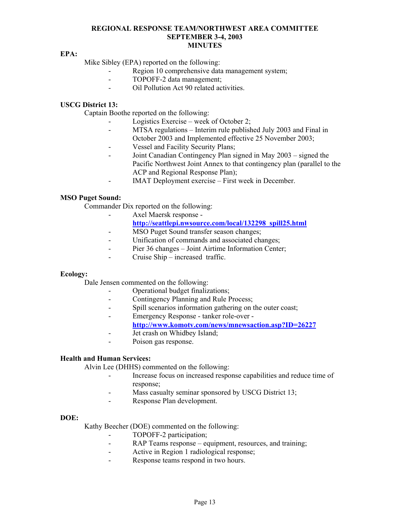#### **EPA:**

Mike Sibley (EPA) reported on the following:

- Region 10 comprehensive data management system;
- TOPOFF-2 data management;
- Oil Pollution Act 90 related activities.

### **USCG District 13:**

Captain Boothe reported on the following:

- Logistics Exercise week of October 2;
- MTSA regulations Interim rule published July 2003 and Final in October 2003 and Implemented effective 25 November 2003;
- Vessel and Facility Security Plans;
- Joint Canadian Contingency Plan signed in May 2003 signed the Pacific Northwest Joint Annex to that contingency plan (parallel to the ACP and Regional Response Plan);
- IMAT Deployment exercise First week in December.

#### **MSO Puget Sound:**

Commander Dix reported on the following:

- Axel Maersk response -

# **[http://seattlepi.nwsource.com/local/132298\\_spill25.html](http://seattlepi.nwsource.com/local/132298_spill25.html)**

- MSO Puget Sound transfer season changes;
- Unification of commands and associated changes;
- Pier 36 changes Joint Airtime Information Center;
- Cruise Ship increased traffic.

#### **Ecology:**

Dale Jensen commented on the following:

- Operational budget finalizations;
- Contingency Planning and Rule Process;
- Spill scenarios information gathering on the outer coast;
- Emergency Response tanker role-over
	- **<http://www.komotv.com/news/mnewsaction.asp?ID=26227>**
- Jet crash on Whidbey Island;
- Poison gas response.

#### **Health and Human Services:**

Alvin Lee (DHHS) commented on the following:

- Increase focus on increased response capabilities and reduce time of response;
- Mass casualty seminar sponsored by USCG District 13;
- Response Plan development.

#### **DOE:**

Kathy Beecher (DOE) commented on the following:

- TOPOFF-2 participation;
- RAP Teams response equipment, resources, and training;
- Active in Region 1 radiological response;
- Response teams respond in two hours.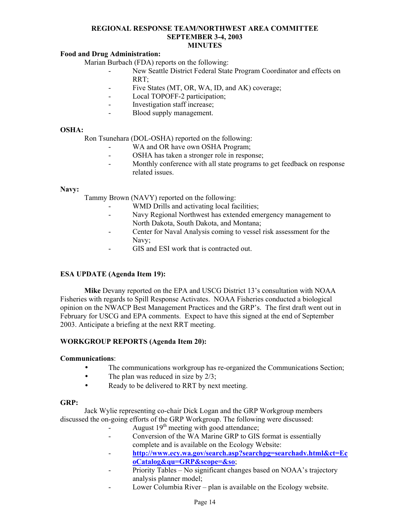# **Food and Drug Administration:**

Marian Burbach (FDA) reports on the following:

- New Seattle District Federal State Program Coordinator and effects on RRT;
- Five States (MT, OR, WA, ID, and AK) coverage;
- Local TOPOFF-2 participation;
- Investigation staff increase;
- Blood supply management.

#### **OSHA:**

Ron Tsunehara (DOL-OSHA) reported on the following:

- WA and OR have own OSHA Program;
- OSHA has taken a stronger role in response;
- Monthly conference with all state programs to get feedback on response related issues.

#### **Navy:**

Tammy Brown (NAVY) reported on the following:

- WMD Drills and activating local facilities;
- Navy Regional Northwest has extended emergency management to North Dakota, South Dakota, and Montana;
- Center for Naval Analysis coming to vessel risk assessment for the Navy;
- GIS and ESI work that is contracted out.

## **ESA UPDATE (Agenda Item 19):**

 **Mike** Devany reported on the EPA and USCG District 13's consultation with NOAA Fisheries with regards to Spill Response Activates. NOAA Fisheries conducted a biological opinion on the NWACP Best Management Practices and the GRP's. The first draft went out in February for USCG and EPA comments. Expect to have this signed at the end of September 2003. Anticipate a briefing at the next RRT meeting.

## **WORKGROUP REPORTS (Agenda Item 20):**

#### **Communications**:

- The communications workgroup has re-organized the Communications Section;
- The plan was reduced in size by  $2/3$ ;
- Ready to be delivered to RRT by next meeting.

#### **GRP:**

Jack Wylie representing co-chair Dick Logan and the GRP Workgroup members discussed the on-going efforts of the GRP Workgroup. The following were discussed:

- August  $19<sup>th</sup>$  meeting with good attendance;
- Conversion of the WA Marine GRP to GIS format is essentially complete and is available on the Ecology Website:
- **[http://www.ecy.wa.gov/search.asp?searchpg=searchadv.html&ct=Ec](http://www.ecy.wa.gov/search.asp?searchpg=searchadv.html&ct=EcoCatalog&qu=GRP&scope=&so) [oCatalog&qu=GRP&scope=&so](http://www.ecy.wa.gov/search.asp?searchpg=searchadv.html&ct=EcoCatalog&qu=GRP&scope=&so)**;
- Priority Tables No significant changes based on NOAA's trajectory analysis planner model;
- Lower Columbia River plan is available on the Ecology website.